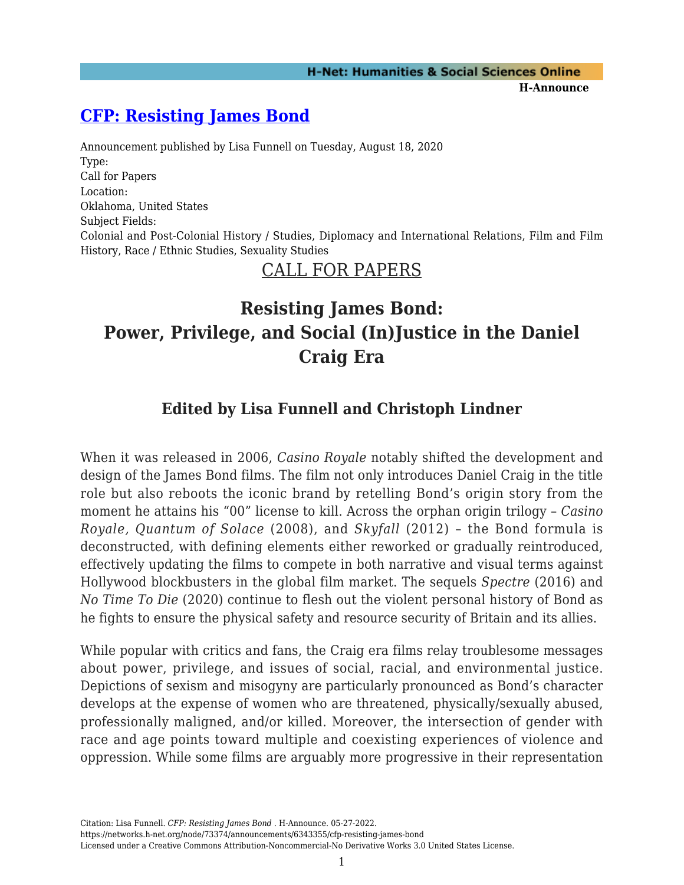## **[CFP: Resisting James Bond](https://networks.h-net.org/node/73374/announcements/6343355/cfp-resisting-james-bond)**

Announcement published by Lisa Funnell on Tuesday, August 18, 2020 Type: Call for Papers Location: Oklahoma, United States Subject Fields: Colonial and Post-Colonial History / Studies, Diplomacy and International Relations, Film and Film History, Race / Ethnic Studies, Sexuality Studies

# CALL FOR PAPERS

# **Resisting James Bond: Power, Privilege, and Social (In)Justice in the Daniel Craig Era**

### **Edited by Lisa Funnell and Christoph Lindner**

When it was released in 2006, *Casino Royale* notably shifted the development and design of the James Bond films. The film not only introduces Daniel Craig in the title role but also reboots the iconic brand by retelling Bond's origin story from the moment he attains his "00" license to kill. Across the orphan origin trilogy – *Casino Royale, Quantum of Solace* (2008), and *Skyfall* (2012) – the Bond formula is deconstructed, with defining elements either reworked or gradually reintroduced, effectively updating the films to compete in both narrative and visual terms against Hollywood blockbusters in the global film market. The sequels *Spectre* (2016) and *No Time To Die* (2020) continue to flesh out the violent personal history of Bond as he fights to ensure the physical safety and resource security of Britain and its allies.

While popular with critics and fans, the Craig era films relay troublesome messages about power, privilege, and issues of social, racial, and environmental justice. Depictions of sexism and misogyny are particularly pronounced as Bond's character develops at the expense of women who are threatened, physically/sexually abused, professionally maligned, and/or killed. Moreover, the intersection of gender with race and age points toward multiple and coexisting experiences of violence and oppression. While some films are arguably more progressive in their representation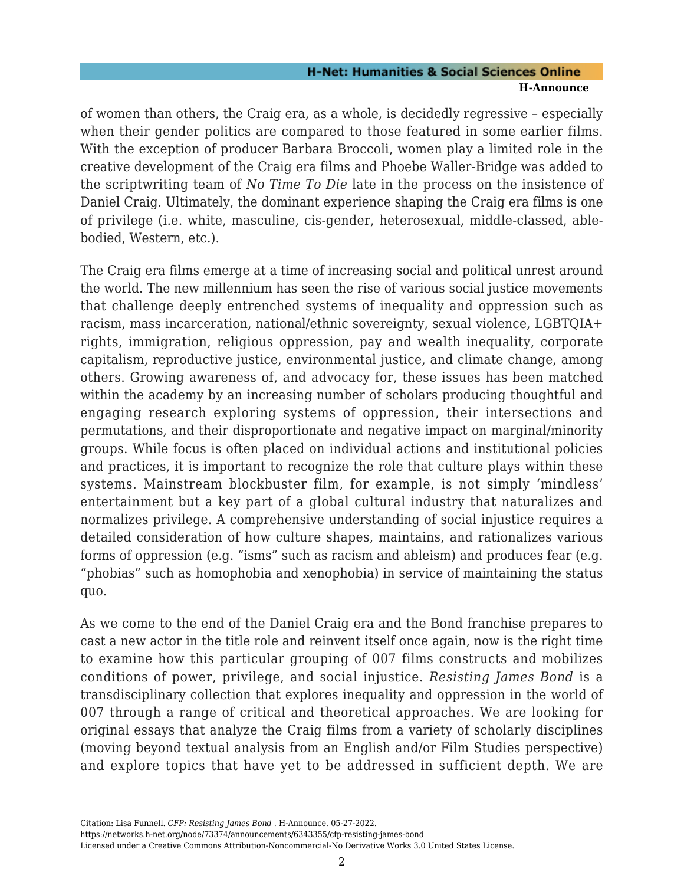### **H-Net: Humanities & Social Sciences Online H-Announce**

of women than others, the Craig era, as a whole, is decidedly regressive – especially when their gender politics are compared to those featured in some earlier films. With the exception of producer Barbara Broccoli, women play a limited role in the creative development of the Craig era films and Phoebe Waller-Bridge was added to the scriptwriting team of *No Time To Die* late in the process on the insistence of Daniel Craig. Ultimately, the dominant experience shaping the Craig era films is one of privilege (i.e. white, masculine, cis-gender, heterosexual, middle-classed, ablebodied, Western, etc.).

The Craig era films emerge at a time of increasing social and political unrest around the world. The new millennium has seen the rise of various social justice movements that challenge deeply entrenched systems of inequality and oppression such as racism, mass incarceration, national/ethnic sovereignty, sexual violence, LGBTQIA+ rights, immigration, religious oppression, pay and wealth inequality, corporate capitalism, reproductive justice, environmental justice, and climate change, among others. Growing awareness of, and advocacy for, these issues has been matched within the academy by an increasing number of scholars producing thoughtful and engaging research exploring systems of oppression, their intersections and permutations, and their disproportionate and negative impact on marginal/minority groups. While focus is often placed on individual actions and institutional policies and practices, it is important to recognize the role that culture plays within these systems. Mainstream blockbuster film, for example, is not simply 'mindless' entertainment but a key part of a global cultural industry that naturalizes and normalizes privilege. A comprehensive understanding of social injustice requires a detailed consideration of how culture shapes, maintains, and rationalizes various forms of oppression (e.g. "isms" such as racism and ableism) and produces fear (e.g. "phobias" such as homophobia and xenophobia) in service of maintaining the status quo.

As we come to the end of the Daniel Craig era and the Bond franchise prepares to cast a new actor in the title role and reinvent itself once again, now is the right time to examine how this particular grouping of 007 films constructs and mobilizes conditions of power, privilege, and social injustice. *Resisting James Bond* is a transdisciplinary collection that explores inequality and oppression in the world of 007 through a range of critical and theoretical approaches. We are looking for original essays that analyze the Craig films from a variety of scholarly disciplines (moving beyond textual analysis from an English and/or Film Studies perspective) and explore topics that have yet to be addressed in sufficient depth. We are